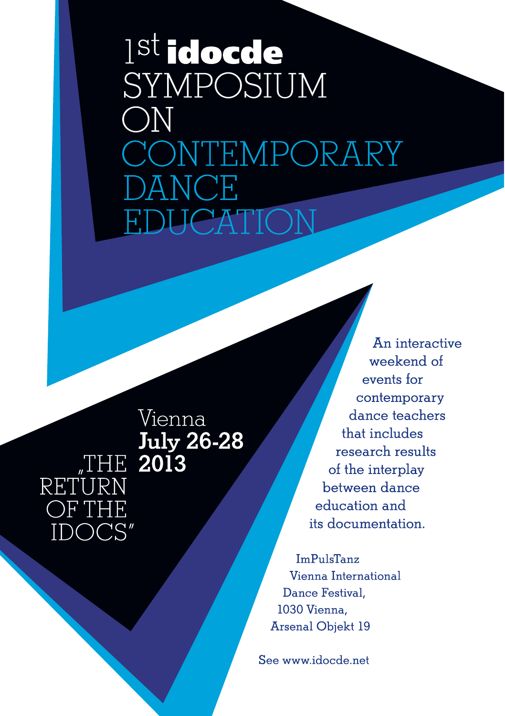# 1<sup>st</sup> idocde SYMPOSIUM  $\bigcirc$ N CONTEMPORARY NC F **JCATIOI**

RETURN OF THF C

Vienna July 26-28

An interactive weekend of events for contemporary dance teachers that includes research results of the interplay between dance education and its documentation.

**ImPulsTanz** Vienna International Dance Festival. 1030 Vienna. Arsenal Objekt 19

See www.idocde.net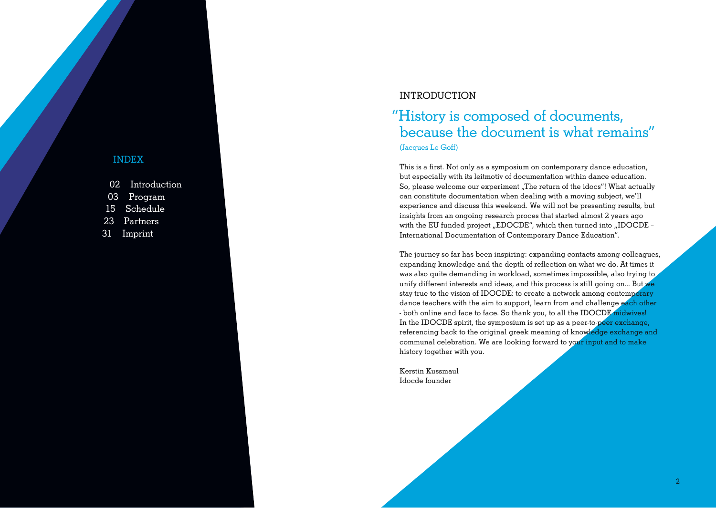#### INDEX

| 02 Introduction |
|-----------------|
| 03 Program      |
| 15 Schedule     |
| 23 Partners     |
| 31 Imprint      |

#### INTRODUCTION

### "History is composed of documents, because the document is what remains" (Jacques Le Goff)

This is a first. Not only as a symposium on contemporary dance education. but especially with its leitmotiv of documentation within dance education. So, please welcome our experiment "The return of the idocs"! What actually can constitute documentation when dealing with a moving subject, we'll experience and discuss this weekend. We will not be presenting results, but insights from an ongoing research proces that started almost 2 years ago with the EU funded project "EDOCDE", which then turned into "IDOCDE -International Documentation of Contemporary Dance Education".

The journey so far has been inspiring: expanding contacts among colleagues, expanding knowledge and the depth of reflection on what we do. At times it was also quite demanding in workload, sometimes impossible, also trying to unify different interests and ideas, and this process is still going on... But we stay true to the vision of IDOCDE: to create a network among contemporary dance teachers with the aim to support, learn from and challenge each other - both online and face to face. So thank you, to all the IDOCDE midwives! In the IDOCDE spirit, the symposium is set up as a peer-to-peer exchange. referencing back to the original greek meaning of knowledge exchange and communal celebration. We are looking forward to your input and to make history together with you.

Kerstin Kussmaul Idocde founder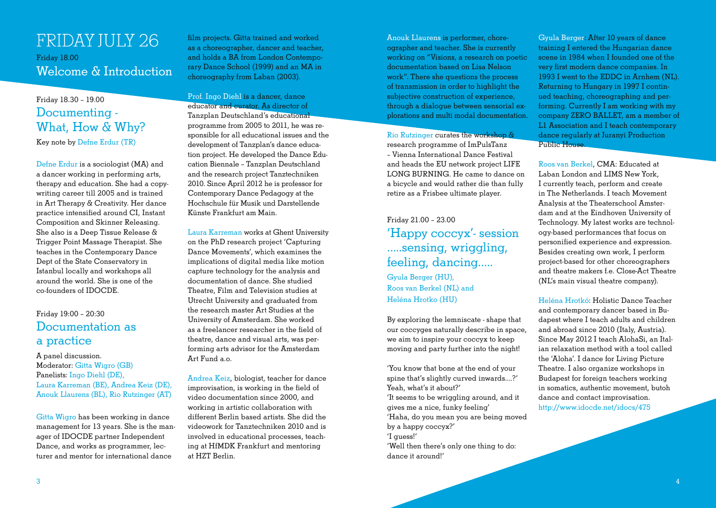### FRIDAY JULY 26 Friday 18.00 Welcome & Introduction

#### $Findav 18.30 - 19.00$ Documenting - What, How & Why? Key note by Defne Erdur (TR)

Defne Erdur is a sociologist (MA) and a dancer working in performing arts, therapy and education. She had a copywriting career till 2005 and is trained in Art Therapy & Creativity. Her dance practice intensified around CI. Instant Composition and Skinner Releasing She also is a Deep Tissue Release & Trigger Point Massage Therapist, She teaches in the Contemporary Dance Dept of the State Conservatory in Istanbul locally and workshops all around the world. She is one of the co-founders of IDOCDE.

#### Friday 19:00 - 20:30 Documentation as a practice

#### A panel discussion. Moderator: Gitta Wigro (GB) Panelists: Ingo Diehl (DE), Laura Karreman (BE), Andrea Keiz (DE), Anouk Llaurens (BL), Rio Rutzinger (AT)

Gitta Wigro has been working in dance management for 13 years. She is the manager of IDOCDE partner Independent Dance, and works as programmer, lecturer and mentor for international dance

film projects. Gitta trained and worked as a choreographer, dancer and teacher, and holds a BA from London Contemporary Dance School (1999) and an MA in choreography from Laban (2003).

Prof. Ingo Diehl is a dancer, dance educator and curator. As director of Tanzplan Deutschland's educational programme from 2005 to 2011, he was responsible for all educational issues and the development of Tanzplan's dance education project. He developed the Dance Education Biennale - Tanzplan Deutschland and the research project Tanztechniken 2010. Since April 2012 he is professor for Contemporary Dance Pedagogy at the Hochschule für Musik und Darstellende Kiinste Frankfurt am Main

Laura Karreman works at Ghent University on the PhD research project 'Capturing Dance Movements', which examines the implications of digital media like motion capture technology for the analysis and documentation of dance. She studied Theatre, Film and Television studies at Utrecht University and graduated from the research master Art Studies at the University of Amsterdam, She worked as a freelancer researcher in the field of theatre, dance and visual arts, was performing arts advisor for the Amsterdam Art Fund a.o.

Andrea Keiz, biologist, teacher for dance improvisation, is working in the field of video documentation since 2000, and working in artistic collaboration with different Berlin based artists She did the videowork for Tanztechniken 2010 and is involved in educational processes, teaching at HfMDK Frankfurt and mentoring at HZT Berlin.

Anouk Llaurens is performer, choreographer and teacher. She is currently working on "Visions, a research on poetic documentation based on Lisa Nelson work". There she questions the process of transmission in order to highlight the subjective construction of experience. through a dialogue between sensorial explorations and multi modal documentation.

Rio Rutzinger curates the workshop & research programme of ImPulsTanz – Vienna International Dance Festival and heads the EU network project LIFE LONG BURNING. He came to dance on a bicycle and would rather die than fully retire as a Frisbee ultimate player.

### $Findav 2100 - 2300$ 'Happy coccyx'- session .....sensing, wriggling, feeling, dancing.....

Gyula Berger (HU), Roos van Berkel (NL) and Heléna Hrotko (HU)

By exploring the lemniscate - shape that our coccyges naturally describe in space we aim to inspire your coccyx to keep moving and party further into the night!

'You know that bone at the end of your spine that's slightly curved inwards....?' Yeah, what's it about?'

'It seems to be wriggling around, and it gives me a nice, funky feeling'

'Haha, do you mean you are being moved by a happy coccyx?'

'I guess!'

'Well then there's only one thing to do: dance it around!'

Gyula Berger: After 10 years of dance training I entered the Hungarian dance scene in 1984 when I founded one of the very first modern dance companies. In 1993 I went to the EDDC in Arnhem (NL). Returning to Hungary in 1997 Lcontinued teaching, choreographing and performing. Currently I am working with my company ZERO BALLET, am a member of LI Association and I teach contemporary dance regularly at Juranyi Production Public House

Roos van Berkel, CMA: Educated at Laban London and LIMS New York, I currently teach, perform and create in The Netherlands. I teach Movement Analysis at the Theaterschool Amsterdam and at the Eindhoven University of Technology. My latest works are technology-based performances that focus on personified experience and expression. Besides creating own work. I perform project-based for other choreographers and theatre makers f.e. Close-Act Theatre (NL's main visual theatre company).

Heléna Hrotkó: Holistic Dance Teacher and contemporary dancer based in Budapest where I teach adults and children and abroad since 2010 (Italy, Austria). Since May 2012 I teach AlohaSi, an Italian relaxation method with a tool called the 'Aloha'. I dance for Living Picture Theatre I also organize workshops in Budapest for foreign teachers working in somatics, authentic movement, butoh dance and contact improvisation. http://www.idocde.net/idocs/475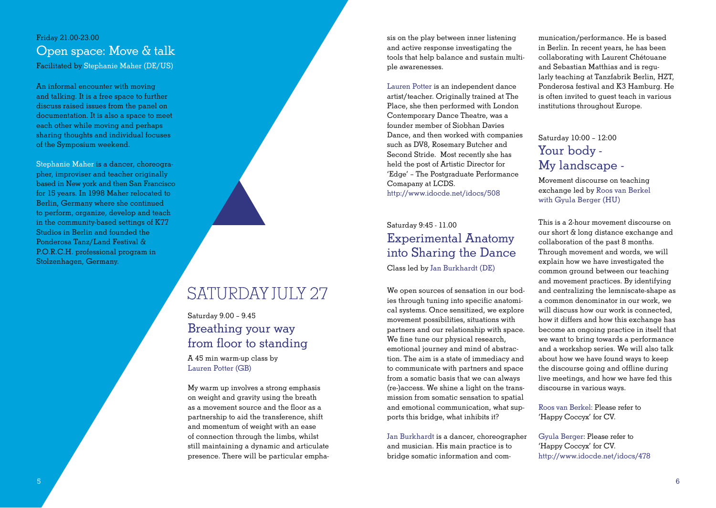#### Friday 21,00-23,00 Open space: Move & talk Facilitated by Stephanie Maher (DE/US)

An informal encounter with moving and talking. It is a free space to further discuss raised issues from the panel on documentation. It is also a space to meet each other while moving and perhaps sharing thoughts and individual focuses of the Symposium weekend.

Stephanie Maher is a dancer, choreographer, improviser and teacher originally based in New york and then San Francisco for 15 years. In 1998 Maher relocated to Berlin. Germany where she continued to perform, organize, develop and teach in the community-based settings of K77 Studios in Berlin and founded the Ponderosa Tanz/Land Festival & P.O.R.C.H. professional program in Stolzenhagen, Germany.



## SATURDAY JULY 27

### Saturday 9.00 - 9.45 Breathing your way from floor to standing

A 45 min warm-up class by Lauren Potter (GB)

My warm up involves a strong emphasis on weight and gravity using the breath as a movement source and the floor as a partnership to aid the transference, shift and momentum of weight with an ease of connection through the limbs, whilst still maintaining a dynamic and articulate presence. There will be particular emphasis on the play between inner listening and active response investigating the tools that help balance and sustain multiple awarenesses.

Lauren Potter is an independent dance artist/teacher Originally trained at The Place, she then performed with London Contemporary Dance Theatre, was a founder member of Siobhan Davies Dance, and then worked with companies such as DV8. Rosemary Butcher and Second Stride. Most recently she has held the post of Artistic Director for 'Edge' - The Postgraduate Performance Comapany at LCDS http://www.idocde.net/idocs/508

#### Saturday 9:45 - 11 00 **Experimental Anatomy** into Sharing the Dance Class led by Jan Burkhardt (DE)

We open sources of sensation in our bodies through tuning into specific anatomical systems. Once sensitized, we explore movement possibilities, situations with partners and our relationship with space. We fine tune our physical research. emotional journey and mind of abstraction. The aim is a state of immediacy and to communicate with partners and space from a somatic basis that we can always (re-)access. We shine a light on the transmission from somatic sensation to spatial and emotional communication, what supports this bridge, what inhibits it?

Jan Burkhardt is a dancer, choreographer and musician. His main practice is to bridge somatic information and communication/performance. He is based in Berlin In recent years, he has been collaborating with Laurent Chétouane and Sebastian Matthias and is reqularly teaching at Tanzfabrik Berlin, HZT, Ponderosa festival and K3 Hamburg He is often invited to quest teach in various institutions throughout Europe.

### Saturday 10:00 - 12:00 Your body -My landscape -

Movement discourse on teaching exchange led by Roos van Berkel with Gyula Berger (HU)

This is a 2-hour movement discourse on our short & long distance exchange and collaboration of the past 8 months. Through movement and words, we will explain how we have investigated the common ground between our teaching and movement practices. By identifying and centralizing the lemniscate-shape as a common denominator in our work, we will discuss how our work is connected how it differs and how this exchange has become an ongoing practice in itself that we want to bring towards a performance and a workshop series. We will also talk about how we have found ways to keep the discourse going and offline during live meetings, and how we have fed this discourse in various ways.

Roos van Berkel: Please refer to 'Happy Coccyx' for CV.

Gyula Berger: Please refer to 'Happy Coccyx' for CV. http://www.idocde.net/idocs/478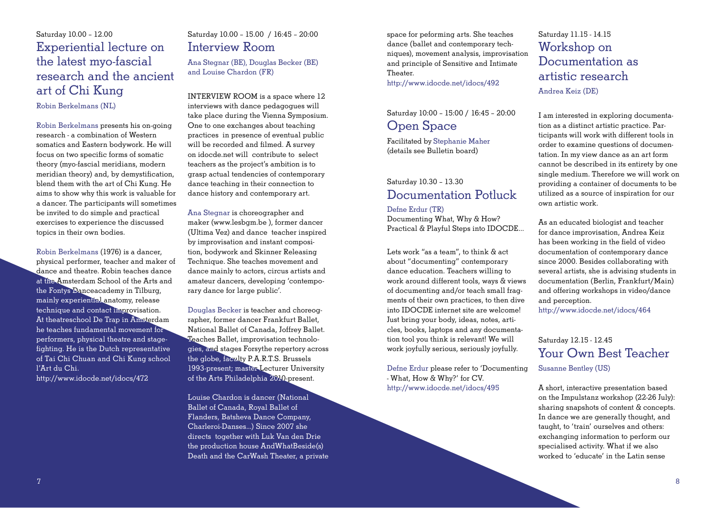### $Saturdav$  10.00 - 12.00 Experiential lecture on the latest myo-fascial research and the ancient art of Chi Kung

Robin Berkelmans (NL)

Robin Berkelmans presents his on-going research - a combination of Western somatics and Eastern bodywork. He will focus on two specific forms of somatic theory (myo-fascial meridians, modern meridian theory) and, by demystification, blend them with the art of Chi Kung. He aims to show why this work is valuable for a dancer. The participants will sometimes be invited to do simple and practical exercises to experience the discussed topics in their own bodies Nobin Berkelmans presents his on-going One to one exchanges about teaching<br>
research - a combination of Western in practices in presence of eventual public<br>
somatics and Eastern bodywork. He will will be recorded and filme

Robin Berkelmans (1976) is a dancer, physical performer, teacher and maker of dance and theatre. Robin teaches dance at The Amsterdam School of the Arts and the Fontys Danceacademy in Tilburg, mainly experiential anatomy, release technique and contact improvisation. At theatreschool De Trap in Amsterdam he teaches fundamental movement for performers, physical theatre and stagefighting. He is the Dutch representative of Tai Chi Chuan and Chi Kung school l'Art du Chi. http://www.idocde.net/idocs/472

### Saturday 10.00 - 15.00 / 16:45 - 20:00 Interview Room

Ana Stegnar (BE), Douglas Becker (BE) and Louise Chardon (FR)

INTERVIEW ROOM is a space where 12 interviews with dance pedagogues will take place during the Vienna Symposium. One to one exchanges about teaching practices in presence of eventual public will be recorded and filmed A survey on idocde.net will contribute to select teachers as the project's ambition is to grasp actual tendencies of contemporary dance teaching in their connection to dance history and contemporary art.

Ana Stegnar is choreographer and maker (www.lesbgm.be ), former dancer (Ultima Vez) and dance teacher inspired by improvisation and instant composition, bodywork and Skinner Releasing Technique. She teaches movement and dance mainly to actors, circus artists and amateur dancers, developing 'contemporary dance for large public'.

Douglas Becker is teacher and choreographer, former dancer Frankfurt Ballet. National Ballet of Canada, Joffrey Ballet. Teaches Ballet, improvisation technologies, and stages Forsythe repertory across the globe, faculty P.A.R.T.S. Brussels 1993-present: master Lecturer University of the Arts Philadelphia 2010-present.

Louise Chardon is dancer (National Ballet of Canada, Royal Ballet of Flanders, Batsheva Dance Company, Charleroi-Danses...) Since 2007 she directs together with Luk Van den Drie the production house AndWhatBeside(s) Death and the CarWash Theater, a private space for peforming arts. She teaches dance (ballet and contemporary techniques), movement analysis, improvisation and principle of Sensitive and Intimate Theater

http://www.idocde.net/idocs/492

#### Saturday 10:00 - 15:00 / 16:45 - 20:00 Open Space

Facilitated by Stephanie Maher (details see Bulletin board)

### Saturday 10.30 - 13.30 Documentation Potluck

Defne Erdur (TR) Documenting What, Why & How? Practical & Playful Steps into IDOCDE…

Lets work "as a team", to think & act about "documenting" contemporary dance education. Teachers willing to work around different tools, ways & views of documenting and/or teach small fragments of their own practices, to then dive into IDOCDE internet site are welcome! Just bring your body, ideas, notes, articles, books, laptops and any documentation tool you think is relevant! We will work joyfully serious, seriously joyfully.

Defne Erdur please refer to 'Documenting - What, How & Why?' for CV. http://www.idocde.net/idocs/495

Saturday 11.15 - 14.15 Workshop on Documentation as artistic research Andrea Keiz (DE)

I am interested in exploring documentation as a distinct artistic practice. Participants will work with different tools in order to examine questions of documentation. In my view dance as an art form cannot be described in its entirety by one single medium. Therefore we will work on providing a container of documents to be utilized as a source of inspiration for our own artistic work.

As an educated biologist and teacher for dance improvisation, Andrea Keiz has been working in the field of video documentation of contemporary dance since 2000. Besides collaborating with several artists, she is advising students in documentation (Berlin, Frankfurt/Main) and offering workshops in video/dance and perception.

http://www.idocde.net/idocs/464

### Saturday 12.15 - 12.45 Your Own Best Teacher Susanne Bentley (US)

A short, interactive presentation based on the Impulstanz workshop (22-26 July): sharing snapshots of content & concepts. In dance we are generally thought, and taught, to 'train' ourselves and others: exchanging information to perform our specialised activity. What if we also worked to 'educate' in the Latin sense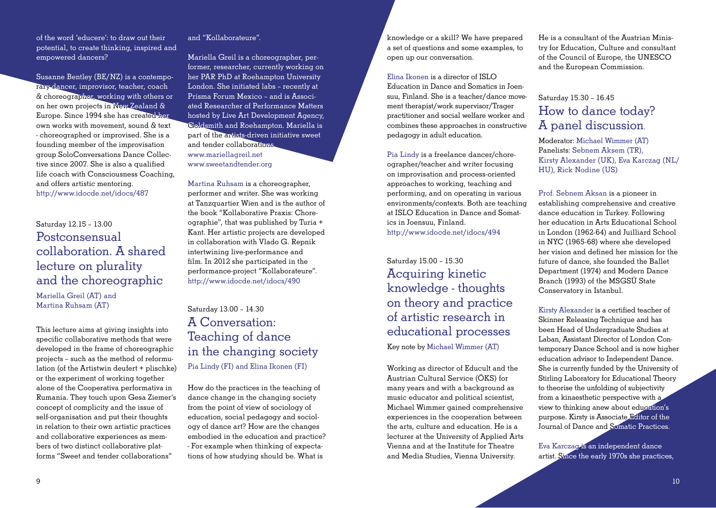of the word 'educere': to draw out their potential, to create thinking, inspired and empowered dancers?

Susanne Bentley (BE/NZ) is a contemporary dancer, improvisor, teacher, coach & choreographer, working with others or on her own projects in New Zealand & Europe. Since 1994 she has created her  $own works with movement sound & text$ - choreographed or improvised. She is a founding member of the improvisation group SoloConversations Dance Collective since 2007. She is also a qualified life coach with Consciousness Coaching. and offers artistic mentoring http://www.idocde.net/idocs/487

Saturday 12.15 - 13.00 Postconsensual collaboration. A shared lecture on plurality and the choreographic

Mariella Greil (AT) and Martina Ruhsam (AT)

This lecture aims at giving insights into specific collaborative methods that were developed in the frame of choreographic projects - such as the method of reformulation (of the Artistwin deufert + plischke) or the experiment of working together alone of the Cooperativa performativa in Rumania. They touch upon Gesa Ziemer's concept of complicity and the issue of self-organisation and put their thoughts in relation to their own artistic practices and collaborative experiences as members of two distinct collaborative platforms "Sweet and tender collaborations"

#### and "Kollaborateure"

Mariella Greil is a choreographer, performer, researcher, currently working on her PAR PhD at Roehampton University London, She initiated labs - recently at Prisma Forum Mexico - and is Associated Researcher of Performance Matters hosted by Live Art Development Agency. Goldsmith and Roehampton. Mariella is part of the artists-driven initiative sweet and tender collaborations. www.mariellagreil.net www.sweetandtender.org

Martina Ruhsam is a choreographer. performer and writer. She was working at Tanzquartier Wien and is the author of the book "Kollaborative Praxis: Choreographie", that was published by Turia + Kant. Her artistic projects are developed in collaboration with Vlado G. Repnik intertwining live-performance and film. In 2012 she participated in the performance-project "Kollaborateure". http://www.idocde.net/idocs/490

### Saturday 13.00 - 14.30 A Conversation: Teaching of dance in the changing society Pia Lindy (FI) and Elina Ikonen (FI)

How do the practices in the teaching of dance change in the changing society from the point of view of sociology of education, social pedagogy and sociology of dance art? How are the changes embodied in the education and practice? - For example when thinking of expectations of how studying should be. What is

knowledge or a skill? We have prepared a set of questions and some examples, to open up our conversation.

Elina Ikonen is a director of  $ISLO$ Education in Dance and Somatics in Loensuu. Finland, She is a teacher/dance movement therapist/work supervisor/Trager practitioner and social welfare worker and combines these approaches in constructive pedagogy in adult education

Pia Lindy is a freelance dancer/choreographer/teacher and writer focusing on improvisation and process-oriented approaches to working, teaching and performing, and on operating in various environments/contexts. Both are teaching at ISLO Education in Dance and Somatics in Joensuu, Finland. http://www.idocde.net/idocs/494

Saturday 15.00 - 15.30 **Acquiring kinetic** knowledge - thoughts on theory and practice of artistic research in educational processes Key note by Michael Wimmer (AT)

Working as director of Educult and the Austrian Cultural Service (ÖKS) for many years and with a background as music educator and political scientist. Michael Wimmer gained comprehensive experiences in the cooperation between the arts, culture and education. He is a lecturer at the University of Applied Arts Vienna and at the Institute for Theatre and Media Studies, Vienna University.

He is a consultant of the Austrian Ministry for Education. Culture and consultant of the Council of Europe, the UNESCO and the European Commission.

### Saturday 15.30 - 16.45 How to dance today? A panel discussion

Moderator: Michael Wimmer (AT) Panelists: Sebnem Aksem (TR). Kirsty Alexander (UK), Eva Karczag (NL/ HU), Rick Nodine (US)

Prof. Sebnem Aksan is a pioneer in establishing comprehensive and creative dance education in Turkey. Following her education in Arts Educational School in London (1962-64) and Juilliard School in NYC (1965-68) where she developed her vision and defined her mission for the future of dance, she founded the Ballet Department (1974) and Modern Dance Branch (1993) of the MSGSÜ State Conservatory in Istanbul.

Kirsty Alexander is a certified teacher of Skinner Releasing Technique and has been Head of Undergraduate Studies at Laban, Assistant Director of London Contemporary Dance School and is now higher education advisor to Independent Dance. She is currently funded by the University of Stirling Laboratory for Educational Theory to theorise the unfolding of subjectivity from a kinaesthetic perspective with a view to thinking anew about education's purpose. Kirsty is Associate Editor of the Journal of Dance and Somatic Practices.

Eva Karczaczis an independent dance artist. Since the early 1970s she practices,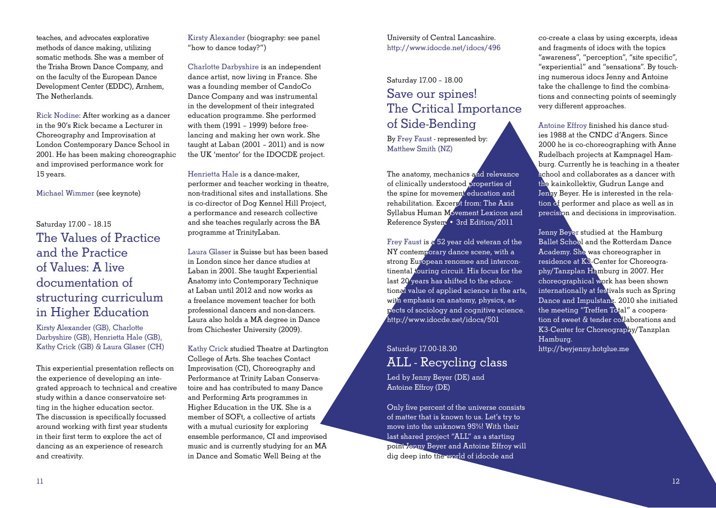teaches, and advocates explorative methods of dance making, utilizing somatic methods. She was a member of the Trisha Brown Dance Company, and on the faculty of the European Dance Development Center (EDDC), Arnhem. The Netherlands

Rick Nodine: After working as a dancer in the 90's Rick became a Lecturer in Choreography and Improvisation at London Contemporary Dance School in 2001. He has been making choreographic and improvised performance work for 15 years.

Michael Wimmer (see keynote)

### Saturday 17.00 - 18.15 The Values of Practice and the Practice of Values: A live documentation of structuring curriculum in Higher Education

Kirsty Alexander (GB), Charlotte Darbyshire (GB), Henrietta Hale (GB), Kathy Crick (GB) & Laura Glaser (CH)

This experiential presentation reflects on the experience of developing an integrated approach to technical and creative study within a dance conservatoire setting in the higher education sector. The discussion is specifically focussed around working with first year students in their first term to explore the act of dancing as an experience of research and creativity.

Kirsty Alexander (biography: see panel "how to dance today?")

Charlotte Darbyshire is an independent dance artist, now living in France. She was a founding member of  $CapdoCo$ Dance Company and was instrumental in the development of their integrated education programme. She performed with them (1991 - 1999) before freelancing and making her own work. She  $t$ aught at Laban  $(2001 - 2011)$  and is now the UK 'mentor' for the IDOCDE project.

Henrietta Hale is a dance-maker. performer and teacher working in theatre. non-traditional sites and installations. She is co-director of Dog Kennel Hill Project. a performance and research collective and she teaches regularly across the BA programme at TrinityLaban

Laura Glaser is Suisse but has been based in London since her dance studies at Laban in 2001. She taught Experiential Anatomy into Contemporary Technique at Laban until 2012 and now works as a freelance movement teacher for both professional dancers and non-dancers Laura also holds a MA degree in Dance from Chichester University (2009).

Kathy Crick studied Theatre at Dartington College of Arts. She teaches Contact Improvisation (CI). Choreography and Performance at Trinity Laban Conservatoire and has contributed to many Dance and Performing Arts programmes in Higher Education in the UK. She is a member of SOFt, a collective of artists with a mutual curiosity for exploring ensemble performance, CI and improvised music and is currently studying for an MA in Dance and Somatic Well Being at the

University of Central Lancashire. http://www.idocde.net/idocs/496

### Saturday 17.00 - 18.00 Save our spines! The Critical Importance of Side-Bending

By Frey Faust - represented by: Matthew Smith (NZ)

The anatomy, mechanics and relevance of clinically understood properties of the spine for movement education and rehabilitation. Excerpt from: The Axis Syllabus Human Movement Lexicon and Reference System • 3rd Edition/2011

Frey Faust is a 52 year old veteran of the NY contemporary dance scene, with a strong European renomee and intercontinental *touring circuit*. His focus for the  $\lambda$  last 20 years has shifted to the educational value of applied science in the arts. with emphasis on anatomy, physics, aspects of sociology and cognitive science. http://www.idocde.net/idocs/501

### Saturday 17.00-18.30 ALL - Recycling class

Led by Jenny Bever (DE) and Antoine Effroy (DE)

Only five percent of the universe consists of matter that is known to us. Let's try to move into the unknown 95%! With their last shared project "ALL" as a starting point Jenny Beyer and Antoine Effroy will dig deep into the world of idocde and

co-create a class by using excerpts, ideas and fragments of idogs with the topics "awareness", "perception", "site specific", "experiential" and "sensations". By touching numerous idocs Jenny and Antoine take the challenge to find the combinations and connecting points of seemingly very different approaches.

Antoine Effroy finished his dance studies 1988 at the CNDC d'Angers, Since  $2000$  he is co-choreographing with Anne Rudelbach projects at Kampnagel Hamburg. Currently he is teaching in a theater school and collaborates as a dancer with the kainkollektiv. Gudrun Lange and Jenny Bever. He is interested in the relation of performer and place as well as in precision and decisions in improvisation.

Jenny Bever studied at the Hamburg Ballet School and the Rotterdam Dance Academy. She was choreographer in residence at K<sup>3</sup>-Center for Choreography/Tanzplan Hamburg in 2007. Her choreographical work has been shown internationally at festivals such as Spring Dance and Impulstanz. 2010 she initiated the meeting "Treffen Total" a cooperation of sweet & tender collaborations and K3-Center for Choreography/Tanzplan Hamburg. http://beyjenny.hotglue.me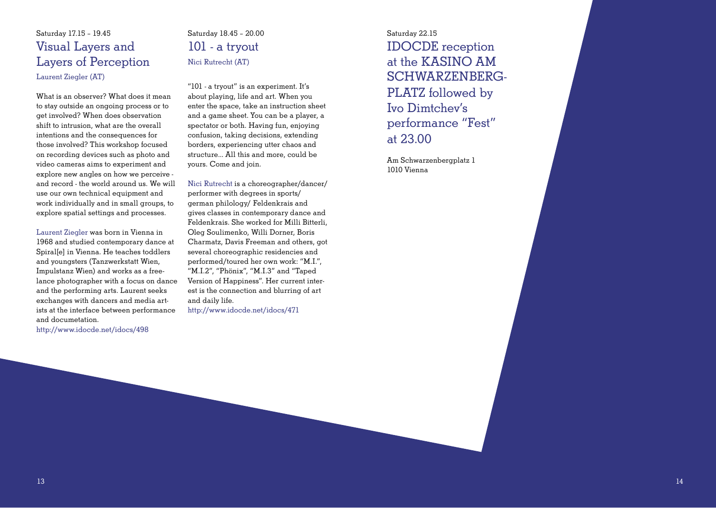### Saturday 1715 - 1945 Visual Layers and Layers of Perception Laurent Ziegler (AT)

What is an observer? What does it mean to stay outside an ongoing process or to get involved? When does observation shift to intrusion, what are the overall intentions and the consequences for those involved? This workshop focused on recording devices such as photo and video cameras aims to experiment and explore new angles on how we perceive and record - the world around us. We will use our own technical equipment and work individually and in small groups, to explore spatial settings and processes.

Laurent Ziegler was born in Vienna in 1968 and studied contemporary dance at Spirallel in Vienna. He teaches toddlers and youngsters (Tanzwerkstatt Wien, Impulstanz Wien) and works as a freelance photographer with a focus on dance and the performing arts. Laurent seeks exchanges with dancers and media artists at the interface between performance and documetation.

http://www.idocde.net/idocs/498

### $Saturdav$  1845 - 2000 101 - a tryout Nici Rutrecht (AT)

 $^{\prime\prime}$ 101 - a tryout" is an experiment It's about playing, life and art. When you enter the space, take an instruction sheet and a game sheet. You can be a player, a spectator or both. Having fun, enjoying confusion, taking decisions, extending borders, experiencing utter chaos and structure... All this and more, could be yours. Come and join.

Nici Rutrecht is a choreographer/dancer/ performer with degrees in sports/ german philology/ Feldenkrais and gives classes in contemporary dance and Feldenkrais. She worked for Milli Bitterli, Oleg Soulimenko, Willi Dorner, Boris Charmatz, Davis Freeman and others, got several choreographic residencies and performed/toured her own work: "M.I.", " $M.I.2$ ", " $Phönix"$ , " $M.I.3"$  and "Taped Version of Happiness" Her current interest is the connection and blurring of art and daily life.

http://www.idocde.net/idocs/471

Saturday 22.15 IDOCDE reception at the KASINO AM  $SCHWARZENBERG-$ PLATZ followed by Ivo Dimtchev's performance "Fest" at  $23.00$ 

Am Schwarzenbergplatz 1 1010 Vienna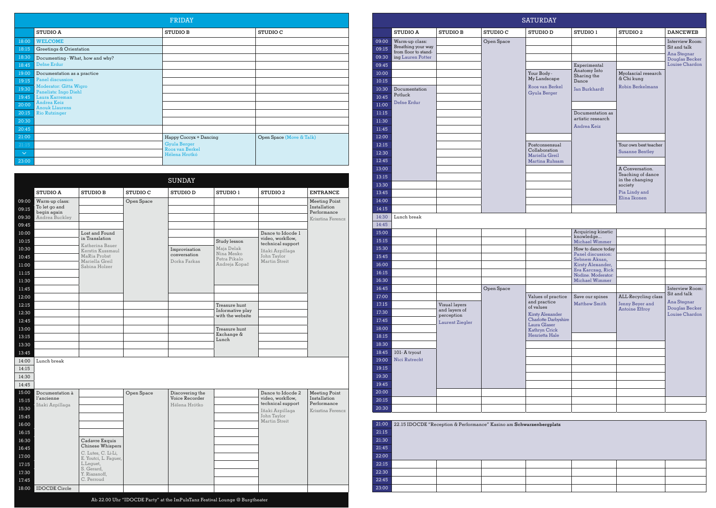|              |                                                 | <b>FRIDAY</b>                    |                          |
|--------------|-------------------------------------------------|----------------------------------|--------------------------|
|              | <b>STUDIO A</b>                                 | <b>STUDIO B</b>                  | <b>STUDIO C</b>          |
| 18:00        | <b>WELCOME</b>                                  |                                  |                          |
| 18:15        | Greetings & Orientation                         |                                  |                          |
| 18:30        | Documenting - What, how and why?                |                                  |                          |
| 18:45        | Defne Erdur                                     |                                  |                          |
| 19:00        | Documentation as a practice                     |                                  |                          |
| 19:15        | Panel discussion                                |                                  |                          |
| 19:30        | Moderator: Gitta Wigro<br>Panelists: Ingo Diehl |                                  |                          |
| 19:45        | Laura Karreman                                  |                                  |                          |
| 20:00        | Andrea Keiz<br><b>Anouk Llaurens</b>            |                                  |                          |
| 20:15        | <b>Rio Rutzinger</b>                            |                                  |                          |
| 20:30        |                                                 |                                  |                          |
| 20:45        |                                                 |                                  |                          |
| 21:00        |                                                 | Happy Coccyx + Dancing           | Open Space (Move & Talk) |
| 21:15        |                                                 | <b>Gyula Berger</b>              |                          |
| $\checkmark$ |                                                 | Roos van Berkel<br>Hélena Hrotkó |                          |
| 23:00        |                                                 |                                  |                          |

|                               |                                              |            | <b>SUNDAY</b>   |                            |                                       |                                  | 13:15<br>13:30 |               |                                                                     |            |                               |                                         | in the changing<br>society |               |
|-------------------------------|----------------------------------------------|------------|-----------------|----------------------------|---------------------------------------|----------------------------------|----------------|---------------|---------------------------------------------------------------------|------------|-------------------------------|-----------------------------------------|----------------------------|---------------|
| <b>STUDIO A</b>               | <b>STUDIO B</b>                              | STUDIO C   | <b>STUDIO D</b> | STUDIO 1                   | STUDIO <sub>2</sub>                   | <b>ENTRANCE</b>                  | 13:45          |               |                                                                     |            |                               |                                         | Pia Lindy and              |               |
| Warm-up class:                |                                              | Open Space |                 |                            |                                       | Meeting Point                    | 14:00          |               |                                                                     |            |                               |                                         | Elina Ikonen               |               |
| To let go and                 |                                              |            |                 |                            |                                       | Installation                     | 14:15          |               |                                                                     |            |                               |                                         |                            |               |
| begin again<br>Andrea Buckley |                                              |            |                 |                            |                                       | Performance<br>Krisztina Ferencz | 14:30          | Lunch break   |                                                                     |            |                               |                                         |                            |               |
|                               |                                              |            |                 |                            |                                       |                                  | 14:45          |               |                                                                     |            |                               |                                         |                            |               |
|                               | Lost and Found                               |            |                 |                            | Dance to Idocde 1                     |                                  | 15:00          |               |                                                                     |            |                               | Acquiring kinetic                       |                            |               |
|                               | in Translation                               |            |                 | Study lesson               | video, workflow,<br>technical support |                                  | 15:15          |               |                                                                     |            |                               | knowledge<br>Michael Wimmer             |                            |               |
|                               | Katherina Bauer<br>Kerstin Kussmaul          |            | Improvisation   | Maja Delak                 | Iñaki Azpillaga                       |                                  | 15:30          |               |                                                                     |            |                               | How to dance today                      |                            |               |
|                               | MaRia Probst                                 |            | conversation    | Nina Mesko<br>Petra Pikalo | John Taylor                           |                                  | 15:45          |               |                                                                     |            |                               | Panel discussion:<br>Sebnem Aksan,      |                            |               |
|                               | Mariella Greil<br>Sabina Holzer              |            | Dorka Farkas    | Andreja Kopač              | Martin Streit                         |                                  | 16:00          |               |                                                                     |            |                               | Kirsty Alexander,                       |                            |               |
|                               |                                              |            |                 |                            |                                       |                                  | 16:15          |               |                                                                     |            |                               | Eva Karczag, Rick<br>Nodine. Moderator: |                            |               |
|                               |                                              |            |                 |                            |                                       |                                  | 16:30          |               |                                                                     |            |                               | Michael Wimmer                          |                            |               |
|                               |                                              |            |                 |                            |                                       |                                  | 16:45          |               |                                                                     | Open Space |                               |                                         |                            | Inter         |
|                               |                                              |            |                 |                            |                                       |                                  | 17:00          |               |                                                                     |            | Values of practice            | Save our spines                         | ALL-Recycling class        | Sit ar        |
|                               |                                              |            |                 | Treasure hunt              |                                       |                                  | 17:15          |               | Visual layers                                                       |            | and practice<br>of values     | <b>Matthew Smith</b>                    | Jenny Beyer and            | Ana S         |
|                               |                                              |            |                 | Informative play           |                                       |                                  | 17:30          |               | and layers of                                                       |            | Kirsty Alexander              |                                         | <b>Antoine Effroy</b>      | Doug<br>Louis |
|                               |                                              |            |                 | with the website           |                                       |                                  | 17:45          |               | perception<br>Laurent Ziegler                                       |            | Charlotte Darbyshire          |                                         |                            |               |
|                               |                                              |            |                 | Treasure hunt              |                                       |                                  | 18:00          |               |                                                                     |            | Laura Glaser<br>Kathryn Crick |                                         |                            |               |
|                               |                                              |            |                 | Exchange &                 |                                       |                                  | 18:15          |               |                                                                     |            | Henrietta Hale                |                                         |                            |               |
|                               |                                              |            |                 | Lunch                      |                                       |                                  | 18:30          |               |                                                                     |            |                               |                                         |                            |               |
|                               |                                              |            |                 |                            |                                       |                                  | 18:45          | 101-A tryout  |                                                                     |            |                               |                                         |                            |               |
| Lunch break                   |                                              |            |                 |                            |                                       |                                  | 19:00          | Nici Rutrecht |                                                                     |            |                               |                                         |                            |               |
|                               |                                              |            |                 |                            |                                       |                                  | 19:15          |               |                                                                     |            |                               |                                         |                            |               |
|                               |                                              |            |                 |                            |                                       |                                  | 19:30          |               |                                                                     |            |                               |                                         |                            |               |
|                               |                                              |            |                 |                            |                                       |                                  | 19:45          |               |                                                                     |            |                               |                                         |                            |               |
| Documentation à               |                                              | Open Space | Discovering the |                            | Dance to Idocde 2                     | Meeting Point                    | 20:00          |               |                                                                     |            |                               |                                         |                            |               |
| l'ancienne                    |                                              |            | Voice Recorder  |                            | video, workflow,<br>technical support | Installation<br>Performance      | 20:15          |               |                                                                     |            |                               |                                         |                            |               |
| Iñaki Azpillaga               |                                              |            | Hélena Hrótko   |                            | Iñaki Azpillaga                       | Krisztina Ferencz                | 20:30          |               |                                                                     |            |                               |                                         |                            |               |
|                               |                                              |            |                 |                            | John Taylor                           |                                  |                |               |                                                                     |            |                               |                                         |                            |               |
|                               |                                              |            |                 |                            | Martin Streit                         |                                  | 21:00          |               | 22.15 IDOCDE "Reception & Performance" Kasino am Schwarzenbergplatz |            |                               |                                         |                            |               |
|                               |                                              |            |                 |                            |                                       |                                  | 21:15          |               |                                                                     |            |                               |                                         |                            |               |
|                               | Cadavre Exquis                               |            |                 |                            |                                       |                                  | 21:30          |               |                                                                     |            |                               |                                         |                            |               |
|                               | Chinese Whispers                             |            |                 |                            |                                       |                                  | 21:45          |               |                                                                     |            |                               |                                         |                            |               |
|                               | C. Lutes, C. Li-Li,<br>E. Youtci, L. Faguer, |            |                 |                            |                                       |                                  | 22:00          |               |                                                                     |            |                               |                                         |                            |               |
|                               | L.Lequet,                                    |            |                 |                            |                                       |                                  | 22:15          |               |                                                                     |            |                               |                                         |                            |               |
|                               | S. Gerard,<br>Y. Riazanoff,                  |            |                 |                            |                                       |                                  | 22:30          |               |                                                                     |            |                               |                                         |                            |               |
|                               | C. Perroud                                   |            |                 |                            |                                       |                                  | 22:45          |               |                                                                     |            |                               |                                         |                            |               |
| <b>IDOCDE</b> Circle          |                                              |            |                 |                            |                                       |                                  | 23:00          |               |                                                                     |            |                               |                                         |                            |               |
|                               |                                              |            |                 |                            |                                       |                                  |                |               |                                                                     |            |                               |                                         |                            |               |

|  |  | Ab 22.00 Uhr "IDOCDE Party" at the ImPulsTanz Festival Lounge @ Burgtheater |
|--|--|-----------------------------------------------------------------------------|
|--|--|-----------------------------------------------------------------------------|

|                | <b>SATURDAY</b>                            |                               |            |                                                 |                                         |                                   |                                  |  |  |
|----------------|--------------------------------------------|-------------------------------|------------|-------------------------------------------------|-----------------------------------------|-----------------------------------|----------------------------------|--|--|
|                | <b>STUDIO A</b>                            | <b>STUDIO B</b>               | STUDIO C   | <b>STUDIO D</b>                                 | STUDIO 1                                | STUDIO <sub>2</sub>               | <b>DANCEWEB</b>                  |  |  |
| 09:00          | Warm-up class:                             |                               | Open Space |                                                 |                                         |                                   | Interview Room:                  |  |  |
| 09:15          | Breathing your way<br>from floor to stand- |                               |            |                                                 |                                         |                                   | Sit and talk<br>Ana Stegnar      |  |  |
| 09:30          | ing Lauren Potter                          |                               |            |                                                 |                                         |                                   | Douglas Becker                   |  |  |
| 09:45          |                                            |                               |            |                                                 | Experimental<br>Anatomy Into            |                                   | Louise Chardon                   |  |  |
| 10:00          |                                            |                               |            | Your Body -<br>My Landscape                     | Sharing the                             | Myofascial research<br>& Chi kung |                                  |  |  |
| 10:15          |                                            |                               |            | Roos van Berkel                                 | Dance                                   | <b>Robin Berkelmans</b>           |                                  |  |  |
| 10:30          | Documentation<br>Potluck                   |                               |            | Gyula Berger                                    | Jan Burkhardt                           |                                   |                                  |  |  |
| 10:45          | Defne Erdur                                |                               |            |                                                 |                                         |                                   |                                  |  |  |
| 11:00          |                                            |                               |            |                                                 |                                         |                                   |                                  |  |  |
| 11:15<br>11:30 |                                            |                               |            |                                                 | Documentation as<br>artistic research   |                                   |                                  |  |  |
| 11:45          |                                            |                               |            |                                                 | Andrea Keiz                             |                                   |                                  |  |  |
| 12:00          |                                            |                               |            |                                                 |                                         |                                   |                                  |  |  |
| 12:15          |                                            |                               |            | Postconsensual                                  |                                         | Your own best teacher             |                                  |  |  |
| 12:30          |                                            |                               |            | Collaboration                                   |                                         | <b>Susanne Bentley</b>            |                                  |  |  |
| 12:45          |                                            |                               |            | Mariella Greil<br>Martina Ruhsam                |                                         |                                   |                                  |  |  |
| 13:00          |                                            |                               |            |                                                 |                                         | A Conversation.                   |                                  |  |  |
| 13:15          |                                            |                               |            |                                                 |                                         | Teaching of dance                 |                                  |  |  |
| 13:30          |                                            |                               |            |                                                 |                                         | in the changing<br>society        |                                  |  |  |
| 13:45          |                                            |                               |            |                                                 |                                         | Pia Lindy and                     |                                  |  |  |
| 14:00          |                                            |                               |            |                                                 |                                         | Elina Ikonen                      |                                  |  |  |
| 14:15          |                                            |                               |            |                                                 |                                         |                                   |                                  |  |  |
| 14:30          | Lunch break                                |                               |            |                                                 |                                         |                                   |                                  |  |  |
| 14:45          |                                            |                               |            |                                                 |                                         |                                   |                                  |  |  |
| 15:00          |                                            |                               |            |                                                 | Acquiring kinetic<br>knowledge          |                                   |                                  |  |  |
| 15:15          |                                            |                               |            |                                                 | Michael Wimmer                          |                                   |                                  |  |  |
| 15:30          |                                            |                               |            |                                                 | How to dance today<br>Panel discussion: |                                   |                                  |  |  |
| 15:45          |                                            |                               |            |                                                 | Sebnem Aksan,                           |                                   |                                  |  |  |
| 16:00          |                                            |                               |            |                                                 | Kirsty Alexander,<br>Eva Karczag, Rick  |                                   |                                  |  |  |
| 16:15          |                                            |                               |            |                                                 | Nodine. Moderator:                      |                                   |                                  |  |  |
| 16:30          |                                            |                               |            |                                                 | Michael Wimmer                          |                                   |                                  |  |  |
| 16:45<br>17:00 |                                            |                               | Open Space | Values of practice                              | Save our spines                         | ALL-Recycling class               | Interview Room:<br>Sit and talk  |  |  |
| 17:15          |                                            | Visual layers                 |            | and practice                                    | <b>Matthew Smith</b>                    | Jenny Beyer and                   | Ana Stegnar                      |  |  |
| 17:30          |                                            | and layers of                 |            | of values                                       |                                         | <b>Antoine Effroy</b>             | Douglas Becker<br>Louise Chardon |  |  |
| 17:45          |                                            | perception<br>Laurent Ziegler |            | <b>Kirsty Alexander</b><br>Charlotte Darbyshire |                                         |                                   |                                  |  |  |
| 18:00          |                                            |                               |            | Laura Glaser<br>Kathryn Crick                   |                                         |                                   |                                  |  |  |
| 18:15          |                                            |                               |            | Henrietta Hale                                  |                                         |                                   |                                  |  |  |
| 18:30          |                                            |                               |            |                                                 |                                         |                                   |                                  |  |  |
| 18:45          | 101-A tryout                               |                               |            |                                                 |                                         |                                   |                                  |  |  |
| 19:00          | Nici Rutrecht                              |                               |            |                                                 |                                         |                                   |                                  |  |  |
| 19:15          |                                            |                               |            |                                                 |                                         |                                   |                                  |  |  |
| 19:30          |                                            |                               |            |                                                 |                                         |                                   |                                  |  |  |
| 19:45          |                                            |                               |            |                                                 |                                         |                                   |                                  |  |  |
| 20:00          |                                            |                               |            |                                                 |                                         |                                   |                                  |  |  |
| 20:15          |                                            |                               |            |                                                 |                                         |                                   |                                  |  |  |
| 20:30          |                                            |                               |            |                                                 |                                         |                                   |                                  |  |  |

| 21:00 | 22.15 IDOCDE "Reception & Performance" Kasino am Schwarzenbergplatz |  |  |  |  |  |  |  |
|-------|---------------------------------------------------------------------|--|--|--|--|--|--|--|
| 21:15 |                                                                     |  |  |  |  |  |  |  |
| 21:30 |                                                                     |  |  |  |  |  |  |  |
| 21:45 |                                                                     |  |  |  |  |  |  |  |
| 22:00 |                                                                     |  |  |  |  |  |  |  |
| 22:15 |                                                                     |  |  |  |  |  |  |  |
| 22:30 |                                                                     |  |  |  |  |  |  |  |
| 22:45 |                                                                     |  |  |  |  |  |  |  |
| 23:00 |                                                                     |  |  |  |  |  |  |  |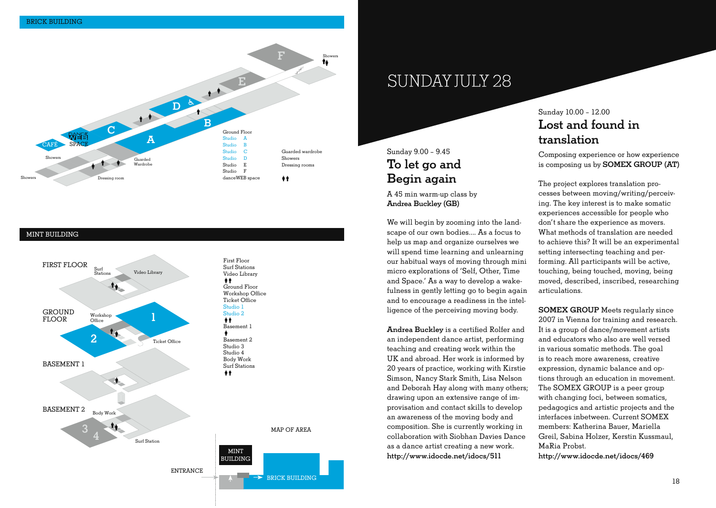

#### MINT BUILDING



## SUNDAY JULY 28

### Sunday 9.00 - 9.45 **To let go and Begin again**

A 45 min warm-up class by **Andrea Buckley (GB)**

We will begin by zooming into the landscape of our own bodies As a focus to help us map and organize ourselves we will spend time learning and unlearning our habitual ways of moving through mini micro explorations of 'Self, Other, Time and Space' As a way to develop a wakefulness in gently letting go to begin again and to encourage a readiness in the intelligence of the perceiving moving body.

**Andrea Buckley** is a certified Rolfer and an independent dance artist, performing teaching and creating work within the UK and abroad. Her work is informed by 20 years of practice, working with Kirstie Simson, Nancy Stark Smith, Lisa Nelson and Deborah Hay along with many others; drawing upon an extensive range of improvisation and contact skills to develop an awareness of the moving body and composition. She is currently working in collaboration with Siobhan Davies Dance as a dance artist creating a new work. **http://www.idocde.net/idocs/511**

#### Sunday 10.00 - 12.00 **Lost and found in translation**

Composing experience or how experience is composing us by **SOMEX GROUP (AT)**

The project explores translation processes between moving/writing/perceiving. The key interest is to make somatic experiences accessible for people who don't share the experience as movers. What methods of translation are needed to achieve this? It will be an experimental setting intersecting teaching and performing. All participants will be active, touching, being touched, moving, being moved, described, inscribed, researching articulations.

**SOMEX GROUP** Meets regularly since 2007 in Vienna for training and research. It is a group of dance/movement artists and educators who also are well versed in various somatic methods. The goal is to reach more awareness, creative expression, dynamic balance and options through an education in movement. The SOMEX GROUP is a peer group with changing foci, between somatics, pedagogics and artistic projects and the interfaces inbetween. Current SOMEX members: Katherina Bauer, Mariella Greil, Sabina Holzer, Kerstin Kussmaul, MaRia Probst. **http://www.idocde.net/idocs/469**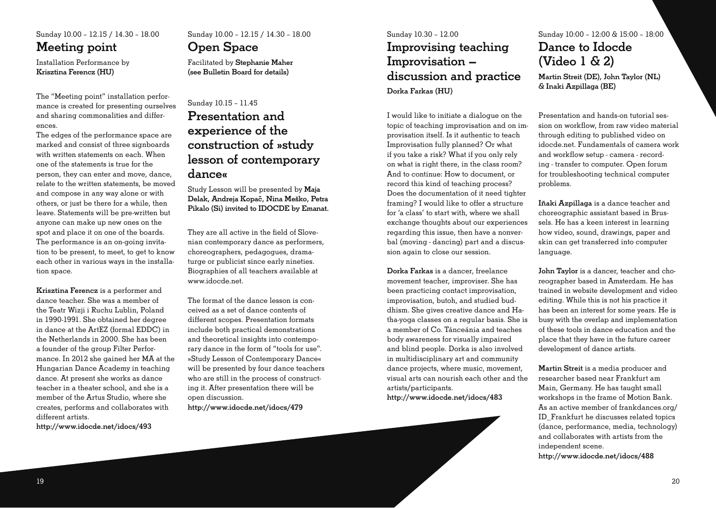Sunday 10.00 - 12.15 / 14.30 - 18.00 **Meeting point**

Installation Performance by **Krisztina Ferencz (HU)**

The "Meeting point" installation performance is created for presenting ourselves and sharing commonalities and differ- $^{70}$ 

The edges of the performance space are marked and consist of three signboards with written statements on each. When one of the statements is true for the person, they can enter and move, dance, relate to the written statements, be moved and compose in any way alone or with others, or just be there for a while, then leave. Statements will be pre-written but anyone can make up new ones on the spot and place it on one of the boards The performance is an on-going invitation to be present, to meet, to get to know each other in various ways in the installation space.

**Krisztina Ferencz** is a performer and dance teacher. She was a member of the Teatr Wizji i Ruchu Lublin, Poland in 1990-1991. She obtained her degree in dance at the ArtEZ (formal EDDC) in the Netherlands in 2000. She has been a founder of the group Filter Performance. In 2012 she gained her MA at the Hungarian Dance Academy in teaching dance. At present she works as dance teacher in a theater school, and she is a member of the Artus Studio, where she creates, performs and collaborates with different artists

**http://www.idocde.net/idocs/493** 

### Sunday 10.00 - 12.15 / 14.30 - 18.00 **Open Space**

Facilitated by **Stephanie Maher (see Bulletin Board for details)**

### Sunday 10.15 - 11.45 **Presentation and experience of the construction of »study lesson of contemporary dance«**

Study Lesson will be presented by **Maja Delak, Andreja Kopac, Nina Meško, Petra Pikalo (Si) invited to IDOCDE by Emanat.** 

They are all active in the field of Slovenian contemporary dance as performers, choreographers, pedagogues, dramaturge or publicist since early nineties. Biographies of all teachers available at www.idocde.net

The format of the dance lesson is conceived as a set of dance contents of different scopes. Presentation formats include both practical demonstrations and theoretical insights into contemporary dance in the form of "tools for use". »Study Lesson of Contemporary Dance« will be presented by four dance teachers who are still in the process of constructing it. After presentation there will be open discussion

**http://www.idocde.net/idocs/479** 

### Sunday 10.30 - 12.00 **Improvising teaching Improvisation – discussion and practice Dorka Farkas (HU)**

I would like to initiate a dialogue on the topic of teaching improvisation and on improvisation itself. Is it authentic to teach Improvisation fully planned? Or what if you take a risk? What if you only rely on what is right there, in the class room? And to continue: How to document, or record this kind of teaching process? Does the documentation of it need tighter framing? I would like to offer a structure for 'a class' to start with, where we shall exchange thoughts about our experiences regarding this issue, then have a nonverbal (moving - dancing) part and a discussion again to close our session.

**Dorka Farkas** is a dancer, freelance movement teacher, improviser She has been practicing contact improvisation, improvisation, butoh, and studied buddhism. She gives creative dance and Hatha-yoga classes on a regular basis. She is a member of Co. Tánceánia and teaches body awareness for visually impaired and blind people. Dorka is also involved in multidisciplinary art and community dance projects, where music, movement, visual arts can nourish each other and the artists/participants. **http://www.idocde.net/idocs/483**

### Sunday 10:00 – 12:00 & 15:00 – 18:00 **Dance to Idocde (Video 1 & 2)**

**Martin Streit (DE), John Taylor (NL) & Inaki Azpillaga (BE)**

Presentation and hands-on tutorial session on workflow, from raw video material through editing to published video on idocde net Fundamentals of camera work and workflow setup - camera - recording - transfer to computer. Open forum for troubleshooting technical computer problems

**Iñaki Azpillaga** is a dance teacher and choreographic assistant based in Brussels. He has a keen interest in learning how video, sound, drawings, paper and skin can get transferred into computer language.

John Taylor is a dancer, teacher and choreographer based in Amsterdam. He has trained in website development and video editing. While this is not his practice it has been an interest for some vears. He is busy with the overlap and implementation of these tools in dance education and the place that they have in the future career development of dance artists.

**Martin Streit** is a media producer and researcher based near Frankfurt am Main, Germany. He has taught small workshops in the frame of Motion Bank. As an active member of frankdances.org/ ID\_Frankfurt he discusses related topics (dance, performance, media, technology) and collaborates with artists from the independent scene. **http://www.idocde.net/idocs/488**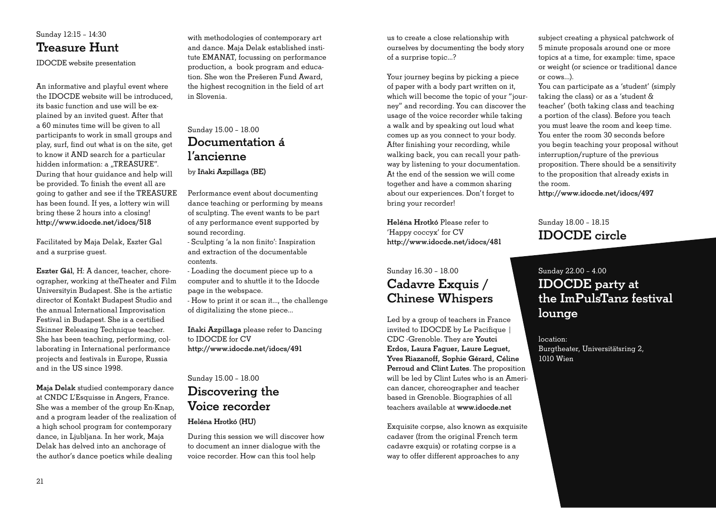

IDOCDE website presentation

An informative and playful event where the IDOCDE website will be introduced, its basic function and use will be explained by an invited quest. After that a 60 minutes time will be given to all participants to work in small groups and play, surf, find out what is on the site, get to know it AND search for a particular hidden information: a "TREASURE". During that hour guidance and help will be provided. To finish the event all are going to gather and see if the TREASURE has been found. If yes, a lottery win will bring these 2 hours into a closing! **http://www.idocde.net/idocs/518** 

Facilitated by Maja Delak, Eszter Gal and a surprise quest.

Eszter Gál, H: A dancer, teacher, choreographer, working at theTheater and Film Universitvin Budapest. She is the artistic director of Kontakt Budapest Studio and the annual International Improvisation Festival in Budapest. She is a certified Skinner Releasing Technique teacher. She has been teaching, performing, collaborating in International performance projects and festivals in Europe, Russia and in the US since 1998.

**Maja Delak** studied contemporary dance at CNDC L'Esquisse in Angers, France. She was a member of the group En-Knap, and a program leader of the realization of a high school program for contemporary dance, in Ljubljana. In her work, Maja Delak has delved into an anchorage of the author's dance poetics while dealing

with methodologies of contemporary art and dance Maja Delak established institute EMANAT, focussing on performance production, a book program and education. She won the Prešeren Fund Award, the highest recognition in the field of art in Slovenia

#### Sunday 15.00 - 18.00 **Documentation á l'ancienne** by **Iñaki Azpillaga (BE)**

Performance event about documenting dance teaching or performing by means of sculpting. The event wants to be part of any performance event supported by sound recording

- Sculpting 'a la non finito': Inspiration and extraction of the documentable contents

- Loading the document piece up to a computer and to shuttle it to the Idocde page in the webspace.

- How to print it or scan it…, the challenge of digitalizing the stone piece…

**Iñaki Azpillaga** please refer to Dancing to IDOCDE for CV **http://www.idocde.net/idocs/491** 

#### Sunday 15.00 - 18.00 **Discovering the Voice recorder**

#### **Heléna Hrotkó (HU)**

During this session we will discover how to document an inner dialogue with the voice recorder. How can this tool help

us to create a close relationship with ourselves by documenting the body story of a surprise topic...?

Your journey begins by picking a piece of paper with a body part written on it, which will become the topic of your "journey" and recording. You can discover the usage of the voice recorder while taking a walk and by speaking out loud what comes up as you connect to your body. After finishing your recording, while walking back, you can recall your pathway by listening to your documentation. At the end of the session we will come together and have a common sharing about our experiences. Don't forget to bring your recorder!

**Heléna Hrotkó** Please refer to 'Happy coccyx' for CV **http://www.idocde.net/idocs/481** 

### Sunday 16.30 - 18.00 **Cadavre Exquis / Chinese Whispers**

Led by a group of teachers in France invited to **IDOCDE** by Le Pacifique 1 CDC - Grenoble. They are Youtci **Erdos, Laura Faguer, Laure Leguet, Yves Riazanoff, Sophie Gérard, Céline Perroud and Clint Lutes**, The proposition will be led by Clint Lutes who is an American dancer, choreographer and teacher based in Grenoble. Biographies of all teachers available at **www.idocde.net** 

Exquisite corpse, also known as exquisite cadaver (from the original French term cadavre exquis) or rotating corpse is a way to offer different approaches to any

subject creating a physical patchwork of 5 minute proposals around one or more topics at a time, for example: time, space or weight (or science or traditional dance or cows...).

You can participate as a 'student' (simply taking the class) or as a 'student & teacher' (both taking class and teaching a portion of the class). Before you teach you must leave the room and keep time. You enter the room 30 seconds before you begin teaching your proposal without interruption/rupture of the previous proposition. There should be a sensitivity to the proposition that already exists in the room

**http://www.idocde.net/idocs/497** 

Sunday 18.00 - 18.15 **IDOCDE circle**

### Sunday 22.00 - 4.00 **IDOCDE party at the ImPulsTanz festival lounge**

location: Burgtheater, Universitätsring 2, 1010 Wien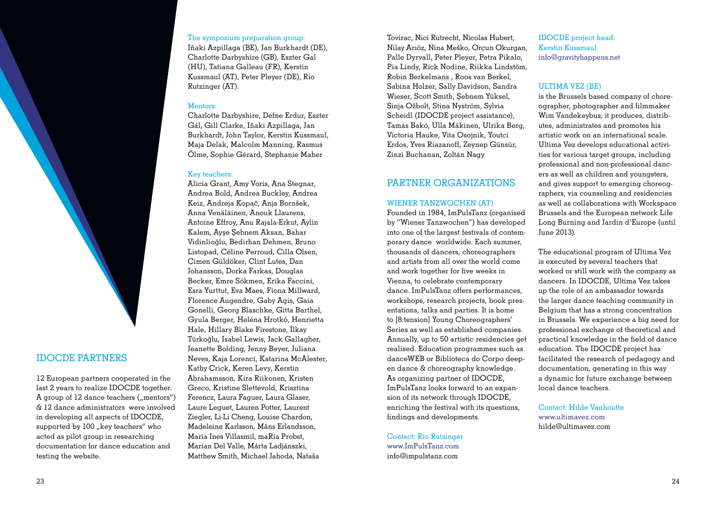

#### **IDOCDE PARTNERS**

12 European partners cooperated in the last 2 years to realize IDOCDE together. A group of 12 dance teachers ("mentors") & 12 dance administrators were involved in developing all aspects of IDOCDE, supported by 100 ... key teachers" who acted as pilot group in researching documentation for dance education and testing the website.

#### The symposium preparation group:

Iñaki Azpillaga (BE), Jan Burkhardt (DE), Charlotte Darbyshire (GB), Eszter Gal (HU), Tatiana Galleau (FR), Kerstin Kussmaul (AT), Peter Pleyer (DE), Rio Rutzinger (AT).

#### Mentors:

Charlotte Darbyshire, Defne Erdur, Eszter Gál, Gill Clarke, Iñaki Azpillaga, Jan Burkhardt, John Taylor, Kerstin Kussmaul. Maja Delak, Malcolm Manning, Rasmus Ölme, Sophie Gérard, Stephanie Maher

#### Key teachers:

Alicia Grant, Amy Voris, Ana Stegnar, Andrea Bold, Andrea Buckley, Andrea Keiz, Andreja Kopač, Anja Bornšek, Anna Venäläinen, Anouk Llaurens, Antoine Effroy, Anu Rajala-Erkut, Aylin Kalem, Avse Sebnem Aksan, Bahar Vidinlioğlu, Bedirhan Dehmen, Bruno Listopad, Céline Perroud, Cilla Olsen, Cimen Güldöker, Clint Lutes, Dan Johansson, Dorka Farkas, Douglas Becker, Emre Sökmen, Erika Faccini. Esra Yurttut, Eva Maes, Fiona Millward, Florence Augendre, Gaby Agis, Gaia Gonelli, Georg Blaschke, Gitta Barthel, Gyula Berger, Heléna Hrotkó, Henrietta Hale, Hillary Blake Firestone, İlkay Türkoğlu, Isabel Lewis, Jack Gallagher, Jeanette Bolding, Jenny Beyer, Juliana Neves, Kaja Lorenci, Katarina McAlester, Kathy Crick, Keren Levy, Kerstin Abrahamsson, Kira Riikonen, Kristen Greco, Kristine Slettevold, Krisztina Ferencz, Laura Faguer, Laura Glaser, Laure Leguet, Lauren Potter, Laurent Ziegler, Li-Li Cheng, Louise Chardon, Madeleine Karlsson, Måns Erlandsson, Maria Ines Villasmil, maRia Probst, Marian Del Valle, Márta Ladiánszki. Matthew Smith, Michael Jahoda, Nataša

Tovirac, Nici Rutrecht, Nicolas Hubert, Nilay Arıöz, Nina Meško, Orcun Okurgan, Palle Dyrvall, Peter Pleyer, Petra Pikalo, Pia Lindy, Rick Nodine, Riikka Lindstöm, Robin Berkelmans, Roos van Berkel, Sabina Holzer, Sally Davidson, Sandra Wieser, Scott Smith, Sebnem Yüksel, Sinia Ožbolt, Stina Nyström, Sylvia Scheidl (IDOCDE project assistance), Tamás Bakó, Ulla Mäkinen, Ulrika Berg, Victoria Hauke, Vita Osojnik, Youtci Erdos, Yves Riazanoff, Zeynep Günsür, Zinzi Buchanan, Zoltán Nagy

#### PARTNER ORGANIZATIONS

#### WIENER TANZWOCHEN (AT)

Founded in 1984, ImPulsTanz (organised by "Wiener Tanzwochen") has developed into one of the largest festivals of contemporary dance worldwide Each summer. thousands of dancers, choreographers and artists from all over the world come and work together for five weeks in Vienna, to celebrate contemporary dance. ImPulsTanz offers performances. workshops, research projects, book presentations, talks and parties. It is home to [8:tension] Young Choreographers' Series as well as established companies. Annually, up to 50 artistic residencies get realised. Education programmes such as danceWEB or Biblioteca do Corpo deep $en$  dance  $\&$  choreography knowledge. As organizing partner of IDOCDE. ImPulsTanz looks forward to an expansion of its network through IDOCDE, enriching the festival with its questions, findings and developments.

Contact: Rio Rutzinger  $www.ImPulsTanz.com$  $info@impulstanz.com$ 

IDOCDE project head: Kerstin Kussmaul info@gravityhappens.net

#### **ULTIMA VEZ (BE)**

is the Brussels based company of choreographer, photographer and filmmaker Wim Vandekeybus: it produces, distributes, administrates and promotes his artistic work on an international scale Ultima Vez develops educational activities for various target groups, including professional and non-professional dancers as well as children and youngsters, and gives support to emerging choreographers, via counseling and residencies as well as collaborations with Workspace Brussels and the European network Life Long Burning and Jardin d'Europe (until June 2013).

The educational program of Ultima Vez is executed by several teachers that worked or still work with the company as dancers In IDOCDE, Ultima Vez takes up the role of an ambassador towards the larger dance teaching community in Belgium that has a strong concentration in Brussels. We experience a big need for professional exchange of theoretical and practical knowledge in the field of dance education. The IDOCDE project has facilitated the research of pedagogy and documentation, generating in this way a dynamic for future exchange between local dance teachers.

Contact: Hilde Vanhoutte  $www$ ultimayez $com$  $hilde@ultime$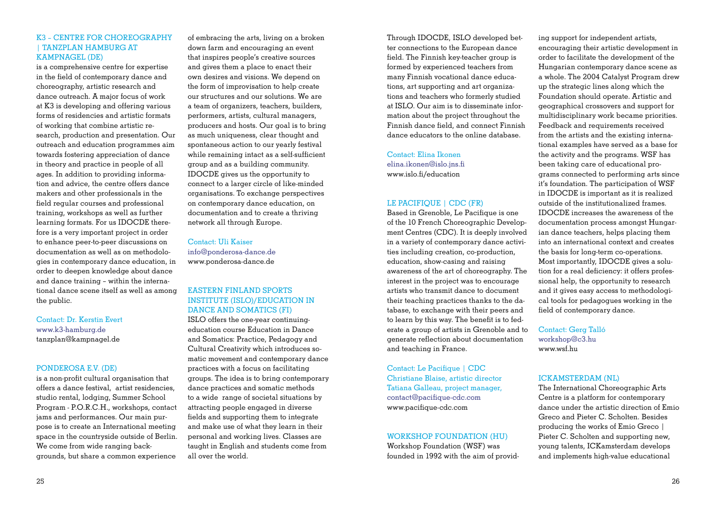#### **K3 - CENTRE FOR CHOREOGRAPHY I TANZPLAN HAMBURG AT KAMPNAGEL (DE)**

is a comprehensive centre for expertise in the field of contemporary dance and choreography, artistic research and dance outreach A major focus of work at K3 is developing and offering various forms of residencies and artistic formats of working that combine artistic research, production and presentation Our outreach and education programmes aim towards fostering appreciation of dance in theory and practice in people of all ages. In addition to providing information and advice, the centre offers dance makers and other professionals in the field regular courses and professional training, workshops as well as further learning formats. For us IDOCDE therefore is a very important project in order to enhance peer-to-peer discussions on documentation as well as on methodologies in contemporary dance education, in order to deepen knowledge about dance and dance training  $-$  within the international dance scene itself as well as among the public.

Contact: Dr. Kerstin Evert www k3-hamburg de tanzplan@kampnagel.de

#### PONDEROSA E.V. (DE)

is a non-profit cultural organisation that offers a dance festival, artist residencies. studio rental, lodging, Summer School Program - P.O.R.C.H., workshops, contact jams and performances. Our main purpose is to create an International meeting space in the countryside outside of Berlin. We come from wide ranging backgrounds, but share a common experience

of embracing the arts, living on a broken down farm and encouraging an event that inspires people's creative sources and gives them a place to enact their own desires and visions. We depend on the form of improvisation to help create our structures and our solutions. We are a team of organizers, teachers, builders, performers, artists, cultural managers, producers and hosts. Our goal is to bring as much uniqueness, clear thought and spontaneous action to our yearly festival while remaining intact as a self-sufficient group and as a building community. IDOCDE gives us the opportunity to connect to a larger circle of like-minded organisations. To exchange perspectives on contemporary dance education, on documentation and to create a thriving network all through Europe.

Contact: Uli Kaiser info@ponderosa-dance.de www.ponderosa-dance.de

#### **EASTERN FINLAND SPORTS INSTITUTE (ISLO)/EDUCATION IN** DANCE AND SOMATICS (FI)

ISLO offers the one-year continuingeducation course Education in Dance and Somatics: Practice, Pedagogy and Cultural Creativity which introduces somatic movement and contemporary dance practices with a focus on facilitating groups. The idea is to bring contemporary dance practices and somatic methods to a wide range of societal situations by attracting people engaged in diverse fields and supporting them to integrate and make use of what they learn in their personal and working lives. Classes are taught in English and students come from all over the world.

Through IDOCDE, ISLO developed better connections to the European dance field. The Finnish key-teacher group is formed by experienced teachers from many Finnish vocational dance educations, art supporting and art organizations and teachers who formerly studied at ISLO. Our aim is to disseminate information about the project throughout the Finnish dance field, and connect Finnish dance educators to the online database

Contact: Elina Ikonen elina.ikonen@islo.ins.fi www.islo.fi/education

#### LE PACIFIOUE | CDC (FR)

Based in Grenoble, Le Pacifique is one of the 10 French Choreographic Development Centres (CDC). It is deeply involved in a variety of contemporary dance activities including creation, co-production. education, show-casing and raising awareness of the art of choreography. The interest in the project was to encourage artists who transmit dance to document their teaching practices thanks to the database, to exchange with their peers and to learn by this way. The benefit is to federate a group of artists in Grenoble and to generate reflection about documentation and teaching in France.

Contact: Le Pacifique | CDC Christiane Blaise, artistic director Tatiana Galleau, project manager, contact@pacifique-cdc.com www.pacifique-cdc.com

#### **WORKSHOP FOUNDATION (HU)**

Workshop Foundation (WSF) was founded in 1992 with the aim of providing support for independent artists. encouraging their artistic development in order to facilitate the development of the Hungarian contemporary dance scene as a whole. The 2004 Catalyst Program drew up the strategic lines along which the Foundation should operate Artistic and geographical crossovers and support for multidisciplinary work became priorities. Feedback and requirements received from the artists and the existing international examples have served as a base for the activity and the programs. WSF has been taking care of educational programs connected to performing arts since it's foundation. The participation of WSF in IDOCDE is important as it is realized outside of the institutionalized frames. IDOCDE increases the awareness of the documentation process amongst Hungarjan dance teachers, helps placing them into an international context and creates the basis for long-term co-operations. Most importantly, IDOCDE gives a solution for a real deficiency: it offers professional help, the opportunity to research and it gives easy access to methodological tools for pedagogues working in the field of contemporary dance.

Contact: Gerg Talló workshop@c3.hu www wsf hu

#### **ICKAMSTERDAM (NI.)**

The International Choreographic Arts Centre is a platform for contemporary dance under the artistic direction of Emio Greco and Pieter C. Scholten, Besides producing the works of Emio Greco | Pieter C. Scholten and supporting new, young talents. ICKamsterdam develops and implements high-value educational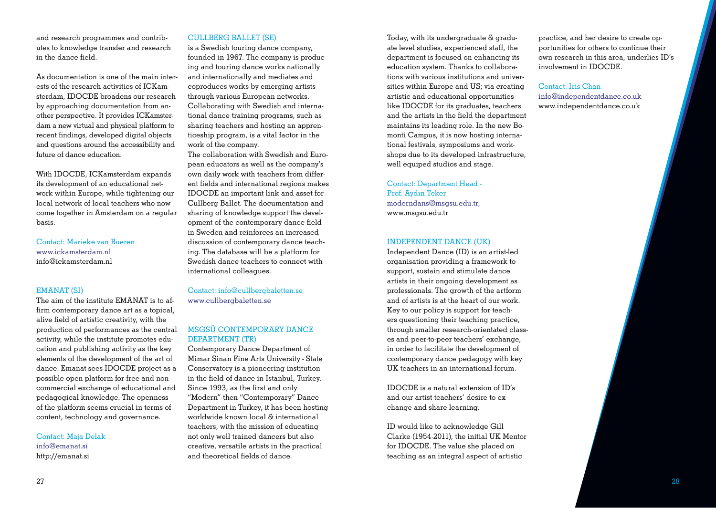and research programmes and contributes to knowledge transfer and research in the dance field

As documentation is one of the main interests of the research activities of ICKamsterdam, IDOCDE broadens our research by approaching documentation from another perspective. It provides ICKamsterdam a new virtual and physical platform to recent findings, developed digital objects and questions around the accessibility and future of dance education.

With IDOCDE, ICKamsterdam expands its development of an educational network within Europe, while tightening our local network of local teachers who now come together in Amsterdam on a regular basis.

Contact: Marieke van Bueren www.ickamsterdam.nl  $inf_{\Omega}$ @ickamsterdam nl

#### EMANAT (SI)

The aim of the institute EMANAT is to affirm contemporary dance art as a topical. alive field of artistic creativity, with the production of performances as the central activity, while the institute promotes education and publishing activity as the key elements of the development of the art of dance. Emanat sees IDOCDE project as a possible open platform for free and noncommercial exchange of educational and pedagogical knowledge. The openness of the platform seems crucial in terms of content, technology and governance.

Contact: Maja Delak info@emanat.si http://emanat.si

#### CULLBERG BALLET (SE)

is a Swedish touring dance company, founded in 1967. The company is producing and touring dance works nationally and internationally and mediates and coproduces works by emerging artists through various European networks Collaborating with Swedish and international dance training programs, such as sharing teachers and hosting an apprenticeship program, is a vital factor in the work of the company

The collaboration with Swedish and European educators as well as the company's own daily work with teachers from different fields and international regions makes IDOCDE an important link and asset for Cullberg Ballet. The documentation and sharing of knowledge support the development of the contemporary dance field in Sweden and reinforces an increased discussion of contemporary dance teaching. The database will be a platform for Swedish dance teachers to connect with international colleagues.

Contact: info@cullbergbaletten.se www.cullbergbaletten.se

#### MSGSÜ CONTEMPORARY DANCE DEPARTMENT (TR)

Contemporary Dance Department of Mimar Sinan Fine Arts University - State Conservatory is a pioneering institution in the field of dance in Istanbul. Turkey. Since 1993, as the first and only "Modern" then "Contemporary" Dance Department in Turkey, it has been hosting worldwide known local & international teachers, with the mission of educating not only well trained dancers but also creative, versatile artists in the practical and theoretical fields of dance.

Today, with its undergraduate & graduate level studies, experienced staff, the department is focused on enhancing its education system. Thanks to collaborations with various institutions and universities within  $E$ urope and  $US$ : via creating artistic and educational opportunities like IDOCDE for its graduates, teachers and the artists in the field the department maintains its leading role. In the new Bomonti Campus, it is now hosting international festivals, symposiums and workshops due to its developed infrastructure, well equiped studios and stage.

Contact: Department Head - Prof. Avdın Teker moderndans@msgsu.edu.tr. www.msasu.edu.tr

#### INDEPENDENT DANCE (UK)

Independent Dance (ID) is an artist-led organisation providing a framework to support, sustain and stimulate dance artists in their ongoing development as professionals. The growth of the artform and of artists is at the heart of our work. Key to our policy is support for teachers questioning their teaching practice, through smaller research-orientated classes and peer-to-peer teachers' exchange, in order to facilitate the development of contemporary dance pedagogy with key UK teachers in an international forum.

IDOCDE is a natural extension of ID's and our artist teachers' desire to exchange and share learning.

ID would like to acknowledge Gill Clarke (1954-2011), the initial UK Mentor for IDOCDE. The value she placed on teaching as an integral aspect of artistic

practice, and her desire to create opportunities for others to continue their own research in this area, underlies ID's involvement in IDOCDE.

Contact: Iris Chan  $info@indenedentdancecouk$ www.independentdance.co.uk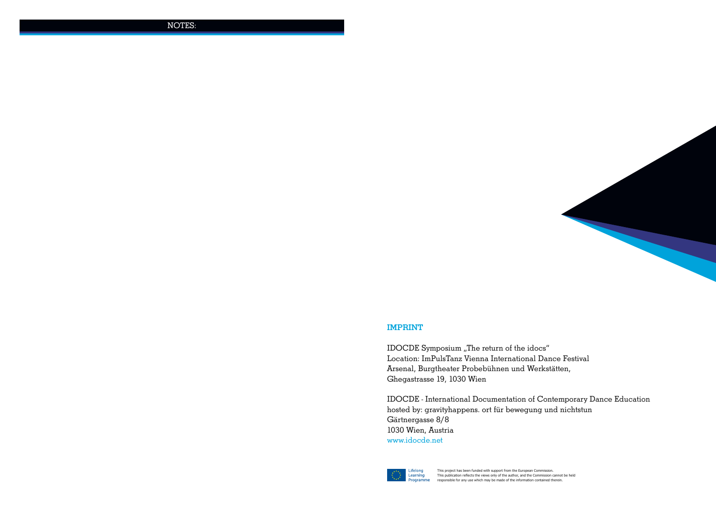NOTES:



#### **IMPRINT**

IDOCDE Symposium "The return of the idocs" Location: ImPulsTanz Vienna International Dance Festival Arsenal, Burgtheater Probebühnen und Werkstätten, Ghegastrasse 19, 1030 Wien

IDOCDE - International Documentation of Contemporary Dance Education hosted by: gravityhappens. ort für bewegung und nichtstun Gärtnergasse 8/8 1030 Wien, Austria www.idocde.net



 $333$  Programmechangle and the separative for any use which may be made of the information contained therein. This project has been funded with support from the European Commission. This publication reflects the views only of the author, and the Commission cannot be held